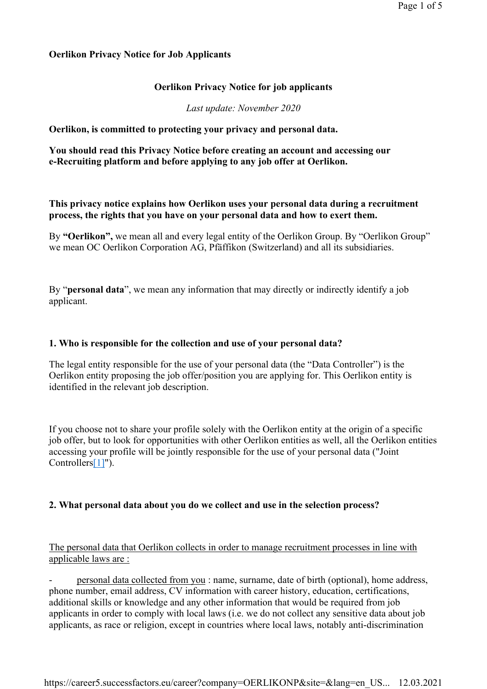## **Oerlikon Privacy Notice for Job Applicants**

# **Oerlikon Privacy Notice for job applicants**

*Last update: November 2020*

**Oerlikon, is committed to protecting your privacy and personal data.** 

**You should read this Privacy Notice before creating an account and accessing our e-Recruiting platform and before applying to any job offer at Oerlikon.**

# **This privacy notice explains how Oerlikon uses your personal data during a recruitment process, the rights that you have on your personal data and how to exert them.**

By **"Oerlikon",** we mean all and every legal entity of the Oerlikon Group. By "Oerlikon Group" we mean OC Oerlikon Corporation AG, Pfäffikon (Switzerland) and all its subsidiaries.

By "**personal data**", we mean any information that may directly or indirectly identify a job applicant.

## **1. Who is responsible for the collection and use of your personal data?**

The legal entity responsible for the use of your personal data (the "Data Controller") is the Oerlikon entity proposing the job offer/position you are applying for. This Oerlikon entity is identified in the relevant job description.

If you choose not to share your profile solely with the Oerlikon entity at the origin of a specific job offer, but to look for opportunities with other Oerlikon entities as well, all the Oerlikon entities accessing your profile will be jointly responsible for the use of your personal data ("Joint Controllers[1]").

# **2. What personal data about you do we collect and use in the selection process?**

The personal data that Oerlikon collects in order to manage recruitment processes in line with applicable laws are :

- personal data collected from you : name, surname, date of birth (optional), home address, phone number, email address, CV information with career history, education, certifications, additional skills or knowledge and any other information that would be required from job applicants in order to comply with local laws (i.e. we do not collect any sensitive data about job applicants, as race or religion, except in countries where local laws, notably anti-discrimination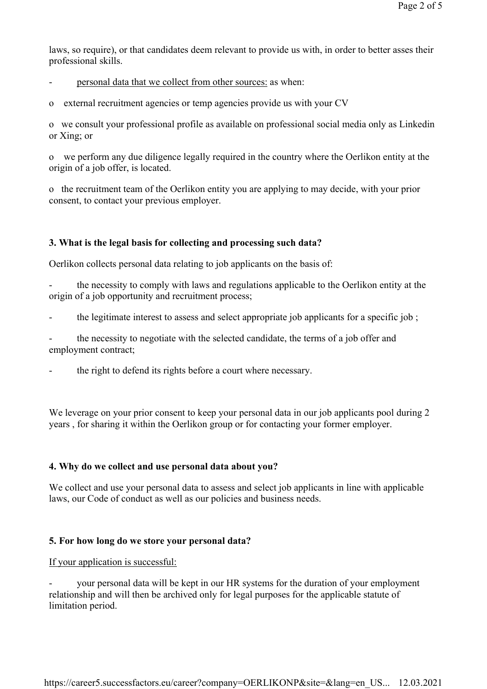laws, so require), or that candidates deem relevant to provide us with, in order to better asses their professional skills.

personal data that we collect from other sources: as when:

o external recruitment agencies or temp agencies provide us with your CV

o we consult your professional profile as available on professional social media only as Linkedin or Xing; or

o we perform any due diligence legally required in the country where the Oerlikon entity at the origin of a job offer, is located.

o the recruitment team of the Oerlikon entity you are applying to may decide, with your prior consent, to contact your previous employer.

## **3. What is the legal basis for collecting and processing such data?**

Oerlikon collects personal data relating to job applicants on the basis of:

the necessity to comply with laws and regulations applicable to the Oerlikon entity at the origin of a job opportunity and recruitment process;

- the legitimate interest to assess and select appropriate job applicants for a specific job;

the necessity to negotiate with the selected candidate, the terms of a job offer and employment contract;

the right to defend its rights before a court where necessary.

We leverage on your prior consent to keep your personal data in our job applicants pool during 2 years , for sharing it within the Oerlikon group or for contacting your former employer.

#### **4. Why do we collect and use personal data about you?**

We collect and use your personal data to assess and select job applicants in line with applicable laws, our Code of conduct as well as our policies and business needs.

#### **5. For how long do we store your personal data?**

#### If your application is successful:

your personal data will be kept in our HR systems for the duration of your employment relationship and will then be archived only for legal purposes for the applicable statute of limitation period.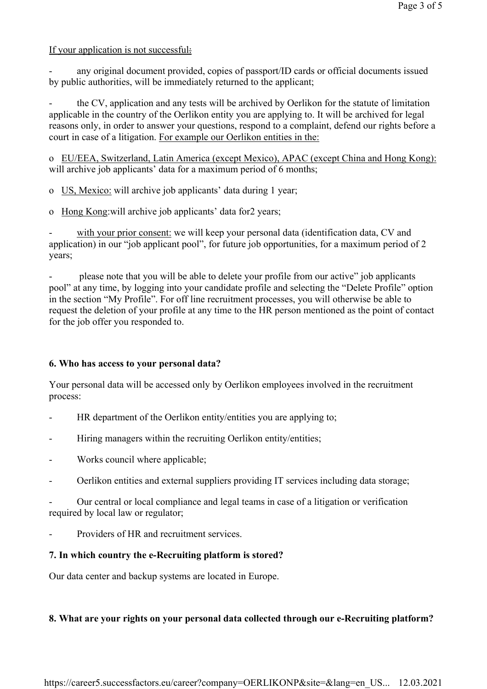## If your application is not successful:

any original document provided, copies of passport/ID cards or official documents issued by public authorities, will be immediately returned to the applicant;

the CV, application and any tests will be archived by Oerlikon for the statute of limitation applicable in the country of the Oerlikon entity you are applying to. It will be archived for legal reasons only, in order to answer your questions, respond to a complaint, defend our rights before a court in case of a litigation. For example our Oerlikon entities in the:

o EU/EEA, Switzerland, Latin America (except Mexico), APAC (except China and Hong Kong): will archive job applicants' data for a maximum period of 6 months;

o US, Mexico: will archive job applicants' data during 1 year;

o Hong Kong:will archive job applicants' data for2 years;

with your prior consent: we will keep your personal data (identification data, CV and application) in our "job applicant pool", for future job opportunities, for a maximum period of 2 years;

please note that you will be able to delete your profile from our active" job applicants pool" at any time, by logging into your candidate profile and selecting the "Delete Profile" option in the section "My Profile". For off line recruitment processes, you will otherwise be able to request the deletion of your profile at any time to the HR person mentioned as the point of contact for the job offer you responded to.

# **6. Who has access to your personal data?**

Your personal data will be accessed only by Oerlikon employees involved in the recruitment process:

- HR department of the Oerlikon entity/entities you are applying to;
- Hiring managers within the recruiting Oerlikon entity/entities;
- Works council where applicable;
- Oerlikon entities and external suppliers providing IT services including data storage;

- Our central or local compliance and legal teams in case of a litigation or verification required by local law or regulator;

Providers of HR and recruitment services.

# **7. In which country the e-Recruiting platform is stored?**

Our data center and backup systems are located in Europe.

# **8. What are your rights on your personal data collected through our e-Recruiting platform?**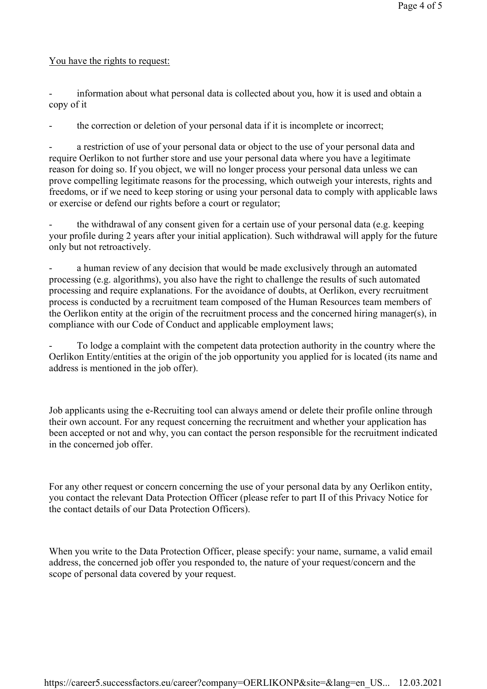## You have the rights to request:

information about what personal data is collected about you, how it is used and obtain a copy of it

the correction or deletion of your personal data if it is incomplete or incorrect;

a restriction of use of your personal data or object to the use of your personal data and require Oerlikon to not further store and use your personal data where you have a legitimate reason for doing so. If you object, we will no longer process your personal data unless we can prove compelling legitimate reasons for the processing, which outweigh your interests, rights and freedoms, or if we need to keep storing or using your personal data to comply with applicable laws or exercise or defend our rights before a court or regulator;

- the withdrawal of any consent given for a certain use of your personal data (e.g. keeping your profile during 2 years after your initial application). Such withdrawal will apply for the future only but not retroactively.

a human review of any decision that would be made exclusively through an automated processing (e.g. algorithms), you also have the right to challenge the results of such automated processing and require explanations. For the avoidance of doubts, at Oerlikon, every recruitment process is conducted by a recruitment team composed of the Human Resources team members of the Oerlikon entity at the origin of the recruitment process and the concerned hiring manager(s), in compliance with our Code of Conduct and applicable employment laws;

To lodge a complaint with the competent data protection authority in the country where the Oerlikon Entity/entities at the origin of the job opportunity you applied for is located (its name and address is mentioned in the job offer).

Job applicants using the e-Recruiting tool can always amend or delete their profile online through their own account. For any request concerning the recruitment and whether your application has been accepted or not and why, you can contact the person responsible for the recruitment indicated in the concerned job offer.

For any other request or concern concerning the use of your personal data by any Oerlikon entity, you contact the relevant Data Protection Officer (please refer to part II of this Privacy Notice for the contact details of our Data Protection Officers).

When you write to the Data Protection Officer, please specify: your name, surname, a valid email address, the concerned job offer you responded to, the nature of your request/concern and the scope of personal data covered by your request.